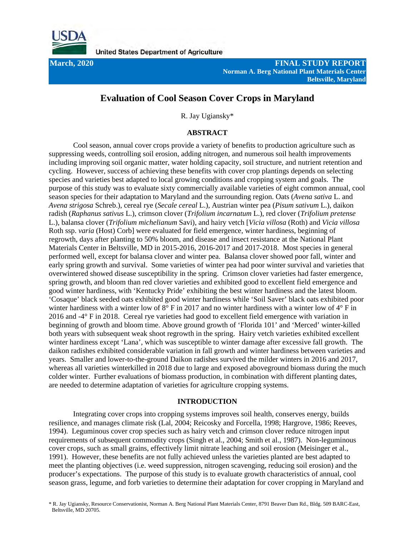

**March, 2020 FINAL STUDY REPORT Norman A. Berg National Plant Materials Center Beltsville, Maryland**

# **Evaluation of Cool Season Cover Crops in Maryland**

R. Jay Ugiansky\*

# **ABSTRACT**

Cool season, annual cover crops provide a variety of benefits to production agriculture such as suppressing weeds, controlling soil erosion, adding nitrogen, and numerous soil health improvements including improving soil organic matter, water holding capacity, soil structure, and nutrient retention and cycling. However, success of achieving these benefits with cover crop plantings depends on selecting species and varieties best adapted to local growing conditions and cropping system and goals. The purpose of this study was to evaluate sixty commercially available varieties of eight common annual, cool season species for their adaptation to Maryland and the surrounding region. Oats (*Avena sativa* L. and *Avena strigosa* Schreb.), cereal rye (*Secale cereal* L.), Austrian winter pea (*Pisum sativum* L.), daikon radish (*Raphanus sativus* L.), crimson clover (*Trifolium incarnatum* L.), red clover (*Trifolium pretense* L.), balansa clover (*Trifolium michelianum* Savi), and hairy vetch [*Vicia villosa* (Roth) and *Vicia villosa* Roth ssp. *varia* (Host) Corb] were evaluated for field emergence, winter hardiness, beginning of regrowth, days after planting to 50% bloom, and disease and insect resistance at the National Plant Materials Center in Beltsville, MD in 2015-2016, 2016-2017 and 2017-2018. Most species in general performed well, except for balansa clover and winter pea. Balansa clover showed poor fall, winter and early spring growth and survival. Some varieties of winter pea had poor winter survival and varieties that overwintered showed disease susceptibility in the spring. Crimson clover varieties had faster emergence, spring growth, and bloom than red clover varieties and exhibited good to excellent field emergence and good winter hardiness, with 'Kentucky Pride' exhibiting the best winter hardiness and the latest bloom. 'Cosaque' black seeded oats exhibited good winter hardiness while 'Soil Saver' black oats exhibited poor winter hardiness with a winter low of 8° F in 2017 and no winter hardiness with a winter low of 4° F in 2016 and -4° F in 2018. Cereal rye varieties had good to excellent field emergence with variation in beginning of growth and bloom time. Above ground growth of 'Florida 101' and 'Merced' winter-killed both years with subsequent weak shoot regrowth in the spring. Hairy vetch varieties exhibited excellent winter hardiness except 'Lana', which was susceptible to winter damage after excessive fall growth. The daikon radishes exhibited considerable variation in fall growth and winter hardiness between varieties and years. Smaller and lower-to-the-ground Daikon radishes survived the milder winters in 2016 and 2017, whereas all varieties winterkilled in 2018 due to large and exposed aboveground biomass during the much colder winter. Further evaluations of biomass production, in combination with different planting dates, are needed to determine adaptation of varieties for agriculture cropping systems.

# **INTRODUCTION**

Integrating cover crops into cropping systems improves soil health, conserves energy, builds resilience, and manages climate risk (Lal, 2004; Reicosky and Forcella, 1998; Hargrove, 1986; Reeves, 1994). Leguminous cover crop species such as hairy vetch and crimson clover reduce nitrogen input requirements of subsequent commodity crops (Singh et al., 2004; Smith et al., 1987). Non-leguminous cover crops, such as small grains, effectively limit nitrate leaching and soil erosion (Meisinger et al., 1991). However, these benefits are not fully achieved unless the varieties planted are best adapted to meet the planting objectives (i.e. weed suppression, nitrogen scavenging, reducing soil erosion) and the producer's expectations. The purpose of this study is to evaluate growth characteristics of annual, cool season grass, legume, and forb varieties to determine their adaptation for cover cropping in Maryland and

\* R. Jay Ugiansky, Resource Conservationist, Norman A. Berg National Plant Materials Center, 8791 Beaver Dam Rd., Bldg. 509 BARC-East, Beltsville, MD 20705.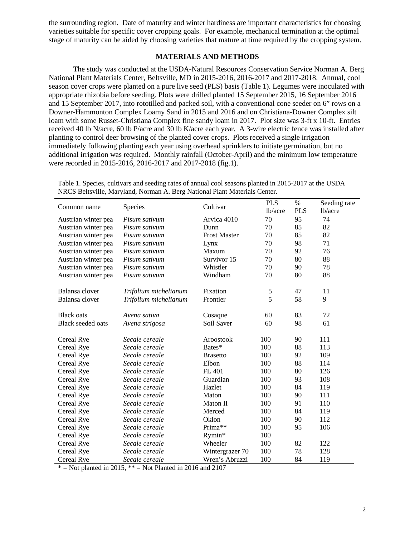the surrounding region. Date of maturity and winter hardiness are important characteristics for choosing varieties suitable for specific cover cropping goals. For example, mechanical termination at the optimal stage of maturity can be aided by choosing varieties that mature at time required by the cropping system.

# **MATERIALS AND METHODS**

The study was conducted at the USDA-Natural Resources Conservation Service Norman A. Berg National Plant Materials Center, Beltsville, MD in 2015-2016, 2016-2017 and 2017-2018. Annual, cool season cover crops were planted on a pure live seed (PLS) basis (Table 1). Legumes were inoculated with appropriate rhizobia before seeding. Plots were drilled planted 15 September 2015, 16 September 2016 and 15 September 2017, into rototilled and packed soil, with a conventional cone seeder on 6" rows on a Downer-Hammonton Complex Loamy Sand in 2015 and 2016 and on Christiana-Downer Complex silt loam with some Russet-Christiana Complex fine sandy loam in 2017. Plot size was 3-ft x 10-ft. Entries received 40 lb N/acre, 60 lb P/acre and 30 lb K/acre each year. A 3-wire electric fence was installed after planting to control deer browsing of the planted cover crops. Plots received a single irrigation immediately following planting each year using overhead sprinklers to initiate germination, but no additional irrigation was required. Monthly rainfall (October-April) and the minimum low temperature were recorded in 2015-2016, 2016-2017 and 2017-2018 (fig.1).

|                          |                       | Cultivar            | <b>PLS</b> | $\%$       | Seeding rate |
|--------------------------|-----------------------|---------------------|------------|------------|--------------|
| Common name              | Species               |                     | lb/acre    | <b>PLS</b> | lb/acre      |
| Austrian winter pea      | Pisum sativum         | Arvica 4010         | 70         | 95         | 74           |
| Austrian winter pea      | Pisum sativum         | Dunn                | 70         | 85         | 82           |
| Austrian winter pea      | Pisum sativum         | <b>Frost Master</b> | 70         | 85         | 82           |
| Austrian winter pea      | Pisum sativum         | Lynx                | 70         | 98         | 71           |
| Austrian winter pea      | Pisum sativum         | Maxum               | 70         | 92         | 76           |
| Austrian winter pea      | Pisum sativum         | Survivor 15         | 70         | 80         | 88           |
| Austrian winter pea      | Pisum sativum         | Whistler            | 70         | 90         | 78           |
| Austrian winter pea      | Pisum sativum         | Windham             | 70         | 80         | 88           |
| Balansa clover           | Trifolium michelianum | Fixation            | 5          | 47         | 11           |
| Balansa clover           | Trifolium michelianum | Frontier            | 5          | 58         | 9            |
| <b>Black oats</b>        | Avena sativa          | Cosaque             | 60         | 83         | 72           |
| <b>Black</b> seeded oats | Avena strigosa        | Soil Saver          | 60         | 98         | 61           |
| Cereal Rye               | Secale cereale        | Aroostook           | 100        | 90         | 111          |
| Cereal Rye               | Secale cereale        | Bates*              | 100        | 88         | 113          |
| Cereal Rye               | Secale cereale        | <b>Brasetto</b>     | 100        | 92         | 109          |
| Cereal Rye               | Secale cereale        | Elbon               | 100        | 88         | 114          |
| Cereal Rye               | Secale cereale        | FL 401              | 100        | 80         | 126          |
| Cereal Rye               | Secale cereale        | Guardian            | 100        | 93         | 108          |
| Cereal Rye               | Secale cereale        | Hazlet              | 100        | 84         | 119          |
| Cereal Rye               | Secale cereale        | Maton               | 100        | 90         | 111          |
| Cereal Rye               | Secale cereale        | Maton II            | 100        | 91         | 110          |
| Cereal Rye               | Secale cereale        | Merced              | 100        | 84         | 119          |
| Cereal Rye               | Secale cereale        | Oklon               | 100        | 90         | 112          |
| Cereal Rye               | Secale cereale        | Prima**             | 100        | 95         | 106          |
| Cereal Rye               | Secale cereale        | Rymin*              | 100        |            |              |
| Cereal Rye               | Secale cereale        | Wheeler             | 100        | 82         | 122          |
| Cereal Rye               | Secale cereale        | Wintergrazer 70     | 100        | 78         | 128          |
| <b>Cereal Rye</b>        | Secale cereale        | Wren's Abruzzi      | 100        | 84         | 119          |

Table 1. Species, cultivars and seeding rates of annual cool seasons planted in 2015-2017 at the USDA NRCS Beltsville, Maryland, Norman A. Berg National Plant Materials Center.

 $*$  = Not planted in 2015,  $**$  = Not Planted in 2016 and 2107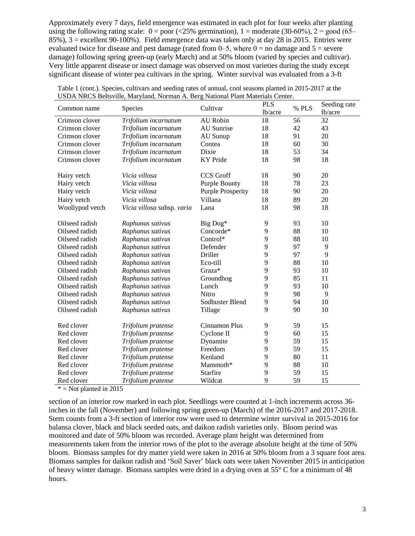Approximately every 7 days, field emergence was estimated in each plot for four weeks after planting using the following rating scale:  $0 = poor$  (<25% germination),  $1 = moderate$  (30-60%),  $2 = good$  (65– 85%), 3 = excellent 90-100%). Field emergence data was taken only at day 28 in 2015. Entries were evaluated twice for disease and pest damage (rated from  $0-5$ , where  $0 =$  no damage and  $5 =$  severe damage) following spring green-up (early March) and at 50% bloom (varied by species and cultivar). Very little apparent disease or insect damage was observed on most varieties during the study except significant disease of winter pea cultivars in the spring. Winter survival was evaluated from a 3-ft

| Common name     | Species                    | Cultivar                 | <b>PLS</b><br>lb/acre | % PLS | Seeding rate<br>lb/acre |
|-----------------|----------------------------|--------------------------|-----------------------|-------|-------------------------|
| Crimson clover  | Trifolium incarnatum       | <b>AU</b> Robin          | 18                    | 56    | 32                      |
| Crimson clover  | Trifolium incarnatum       | AU Sunrise               | 18                    | 42    | 43                      |
| Crimson clover  | Trifolium incarnatum       | AU Sunup                 | 18                    | 91    | 20                      |
| Crimson clover  | Trifolium incarnatum       | Contea                   | 18                    | 60    | 30                      |
| Crimson clover  | Trifolium incarnatum       | Dixie                    | 18                    | 53    | 34                      |
| Crimson clover  | Trifolium incarnatum       | <b>KY</b> Pride          | 18                    | 98    | 18                      |
| Hairy vetch     | Vicia villosa              | <b>CCS</b> Groff         | 18                    | 90    | 20                      |
| Hairy vetch     | Vicia villosa              | <b>Purple Bounty</b>     | 18                    | 78    | 23                      |
| Hairy vetch     | Vicia villosa              | <b>Purple Prosperity</b> | 18                    | 90    | 20                      |
| Hairy vetch     | Vicia villosa              | Villana                  | 18                    | 89    | 20                      |
| Woollypod vetch | Vicia villosa subsp. varia | Lana                     | 18                    | 98    | 18                      |
| Oilseed radish  | Raphanus sativus           | Big Dog*                 | 9                     | 93    | 10                      |
| Oilseed radish  | Raphanus sativus           | Concorde*                | 9                     | 88    | 10                      |
| Oilseed radish  | Raphanus sativus           | Control*                 | 9                     | 88    | 10                      |
| Oilseed radish  | Raphanus sativus           | Defender                 | 9                     | 97    | 9                       |
| Oilseed radish  | Raphanus sativus           | Driller                  | 9                     | 97    | 9                       |
| Oilseed radish  | Raphanus sativus           | Eco-till                 | 9                     | 88    | 10                      |
| Oilseed radish  | Raphanus sativus           | Graza*                   | 9                     | 93    | 10                      |
| Oilseed radish  | Raphanus sativus           | Groundhog                | 9                     | 85    | 11                      |
| Oilseed radish  | Raphanus sativus           | Lunch                    | 9                     | 93    | 10                      |
| Oilseed radish  | Raphanus sativus           | <b>Nitro</b>             | 9                     | 98    | 9                       |
| Oilseed radish  | Raphanus sativus           | Sodbuster Blend          | 9                     | 94    | 10                      |
| Oilseed radish  | Raphanus sativus           | Tillage                  | 9                     | 90    | 10                      |
| Red clover      | Trifolium pratense         | Cinnamon Plus            | 9                     | 59    | 15                      |
| Red clover      | Trifolium pratense         | Cyclone II               | 9                     | 60    | 15                      |
| Red clover      | Trifolium pratense         | Dynamite                 | 9                     | 59    | 15                      |
| Red clover      | Trifolium pratense         | Freedom                  | 9                     | 59    | 15                      |
| Red clover      | Trifolium pratense         | Kenland                  | 9                     | 80    | 11                      |
| Red clover      | Trifolium pratense         | Mammoth*                 | 9                     | 88    | 10                      |
| Red clover      | Trifolium pratense         | <b>Starfire</b>          | 9                     | 59    | 15                      |
| Red clover      | Trifolium pratense         | Wildcat                  | 9                     | 59    | 15                      |

| Table 1 (cont.). Species, cultivars and seeding rates of annual, cool seasons planted in 2015-2017 at the |  |
|-----------------------------------------------------------------------------------------------------------|--|
| USDA NRCS Beltsville, Maryland, Norman A. Berg National Plant Materials Center.                           |  |

 $* =$  Not planted in 2015

section of an interior row marked in each plot. Seedlings were counted at 1-inch increments across 36 inches in the fall (November) and following spring green-up (March) of the 2016-2017 and 2017-2018. Stem counts from a 3-ft section of interior row were used to determine winter survival in 2015-2016 for balansa clover, black and black seeded oats, and daikon radish varieties only. Bloom period was monitored and date of 50% bloom was recorded. Average plant height was determined from measurements taken from the interior rows of the plot to the average absolute height at the time of 50% bloom. Biomass samples for dry matter yield were taken in 2016 at 50% bloom from a 3 square foot area. Biomass samples for daikon radish and 'Soil Saver' black oats were taken November 2015 in anticipation of heavy winter damage. Biomass samples were dried in a drying oven at 55° C for a minimum of 48 hours.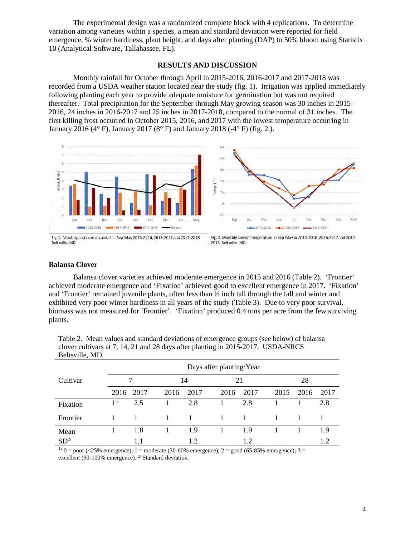The experimental design was a randomized complete block with 4 replications. To determine variation among varieties within a species, a mean and standard deviation were reported for field emergence, % winter hardiness, plant height, and days after planting (DAP) to 50% bloom using Statistix 10 (Analytical Software, Tallahassee, FL).

## **RESULTS AND DISCUSSION**

Monthly rainfall for October through April in 2015-2016, 2016-2017 and 2017-2018 was recorded from a USDA weather station located near the study (fig. 1). Irrigation was applied immediately following planting each year to provide adequate moisture for germination but was not required thereafter. Total precipitation for the September through May growing season was 30 inches in 2015- 2016, 24 inches in 2016-2017 and 25 inches in 2017-2018, compared to the normal of 31 inches. The first killing frost occurred in October 2015, 2016, and 2017 with the lowest temperature occurring in January 2016 (4° F), January 2017 (8° F) and January 2018 (-4° F) (fig. 2.).



Beltsville, MD



## **Balansa Clover**

Balansa clover varieties achieved moderate emergence in 2015 and 2016 (Table 2). 'Frontier' achieved moderate emergence and 'Fixation' achieved good to excellent emergence in 2017. 'Fixation' and 'Frontier' remained juvenile plants, often less than ½ inch tall through the fall and winter and exhibited very poor winter hardiness in all years of the study (Table 3). Due to very poor survival, biomass was not measured for 'Frontier'. 'Fixation' produced 0.4 tons per acre from the few surviving plants.

|                 | Days after planting/Year |      |              |      |      |      |      |      |      |  |  |
|-----------------|--------------------------|------|--------------|------|------|------|------|------|------|--|--|
| Cultivar        |                          |      |              | 14   | 21   |      | 28   |      |      |  |  |
|                 | 2016                     | 2017 | 2016         | 2017 | 2016 | 2017 | 2015 | 2016 | 2017 |  |  |
| Fixation        | 1 <sup>1</sup>           | 2.5  |              | 2.8  |      | 2.8  |      |      | 2.8  |  |  |
| Frontier        |                          | 1    | $\mathbf{1}$ | 1    |      |      |      |      |      |  |  |
| Mean            |                          | 1.8  |              | 1.9  |      | 1.9  |      |      | 1.9  |  |  |
| SD <sup>2</sup> |                          | 1.1  |              | 1.2  |      | 1.2  |      |      | 1.2  |  |  |

Table 2. Mean values and standard deviations of emergence groups (see below) of balansa clover cultivars at 7, 14, 21 and 28 days after planting in 2015-2017. USDA-NRCS Beltsville, MD.

 $1/0 =$  poor (<25% emergence); 1 = moderate (30-60% emergence); 2 = good (65-85% emergence); 3 = excellent (90-100% emergence).  $2^{\prime}$  Standard deviation.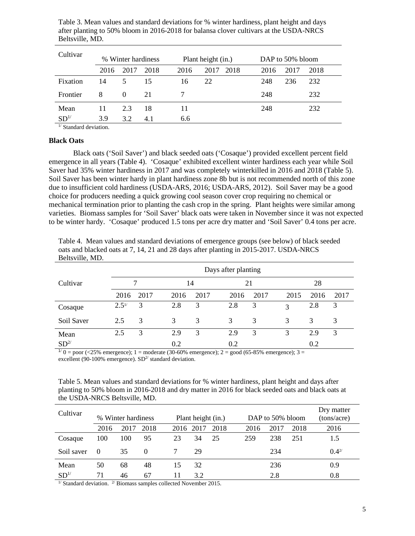| Table 3. Mean values and standard deviations for % winter hardiness, plant height and days |  |
|--------------------------------------------------------------------------------------------|--|
| after planting to 50% bloom in 2016-2018 for balansa clover cultivars at the USDA-NRCS     |  |
| Beltsville, MD.                                                                            |  |

| Cultivar                        |      | % Winter hardiness |      |      | Plant height (in.) |      | DAP to 50% bloom |      |  |  |
|---------------------------------|------|--------------------|------|------|--------------------|------|------------------|------|--|--|
|                                 | 2016 | 2017               | 2018 | 2016 | 2017<br>2018       | 2016 | 2017             | 2018 |  |  |
| Fixation                        | 14   | 5                  | 15   | 16   | 22                 | 248  | 236              | 232  |  |  |
| Frontier                        | 8    | $\Omega$           | 21   |      |                    | 248  |                  | 232  |  |  |
| Mean                            | 11   | 2.3                | 18   | 11   |                    | 248  |                  | 232  |  |  |
| SD <sup>1/</sup><br>$1/a$ $1/a$ | 3.9  | 3.2                | 4.1  | 6.6  |                    |      |                  |      |  |  |

<sup>1/</sup> Standard deviation.

# **Black Oats**

Black oats ('Soil Saver') and black seeded oats ('Cosaque') provided excellent percent field emergence in all years (Table 4). 'Cosaque' exhibited excellent winter hardiness each year while Soil Saver had 35% winter hardiness in 2017 and was completely winterkilled in 2016 and 2018 (Table 5). Soil Saver has been winter hardy in plant hardiness zone 8b but is not recommended north of this zone due to insufficient cold hardiness (USDA-ARS, 2016; USDA-ARS, 2012). Soil Saver may be a good choice for producers needing a quick growing cool season cover crop requiring no chemical or mechanical termination prior to planting the cash crop in the spring. Plant heights were similar among varieties. Biomass samples for 'Soil Saver' black oats were taken in November since it was not expected to be winter hardy. 'Cosaque' produced 1.5 tons per acre dry matter and 'Soil Saver' 0.4 tons per acre.

Table 4. Mean values and standard deviations of emergence groups (see below) of black seeded oats and blacked oats at 7, 14, 21 and 28 days after planting in 2015-2017. USDA-NRCS Beltsville, MD.

|                 | Days after planting |      |      |      |      |      |      |      |      |  |
|-----------------|---------------------|------|------|------|------|------|------|------|------|--|
| Cultivar        |                     |      | 14   |      | 21   |      | 28   |      |      |  |
|                 | 2016                | 2017 | 2016 | 2017 | 2016 | 2017 | 2015 | 2016 | 2017 |  |
| Cosaque         | $2.5^{1/}$          | 3    | 2.8  | 3    | 2.8  | 3    | 3    | 2.8  | 3    |  |
| Soil Saver      | 2.5                 | 3    | 3    | 3    | 3    | 3    | 3    | 3    | 3    |  |
| Mean            | 2.5                 | 3    | 2.9  | 3    | 2.9  | 3    | 3    | 2.9  | 3    |  |
| SD <sup>2</sup> |                     |      | 0.2  |      | 0.2  |      |      | 0.2  |      |  |

 $1/0 =$  poor (<25% emergence); 1 = moderate (30-60% emergence); 2 = good (65-85% emergence); 3 = excellent (90-100% emergence).  $SD<sup>2</sup>$  standard deviation.

Table 5. Mean values and standard deviations for % winter hardiness, plant height and days after planting to 50% bloom in 2016-2018 and dry matter in 2016 for black seeded oats and black oats at the USDA-NRCS Beltsville, MD.

| Cultivar         |          | % Winter hardiness |          |      | DAP to 50% bloom<br>Plant height (in.) |      |      |  |      |      | Dry matter<br>(tons/acre) |
|------------------|----------|--------------------|----------|------|----------------------------------------|------|------|--|------|------|---------------------------|
|                  | 2016     | 2017               | 2018     | 2016 | 2017                                   | 2018 | 2016 |  | 2017 | 2018 | 2016                      |
| Cosaque          | 100      | 100                | 95       | 23   | 34                                     | 25   | 259  |  | 238  | 251  | 1.5                       |
| Soil saver       | $\theta$ | 35                 | $\Omega$ |      | 29                                     |      |      |  | 234  |      | 0.427                     |
| Mean             | 50       | 68                 | 48       | 15   | 32                                     |      |      |  | 236  |      | 0.9                       |
| SD <sup>1/</sup> | 71       | 46                 | 67       | 11   | 3.2                                    |      |      |  | 2.8  |      | 0.8                       |

<sup>1/</sup> Standard deviation. <sup>2/</sup> Biomass samples collected November 2015.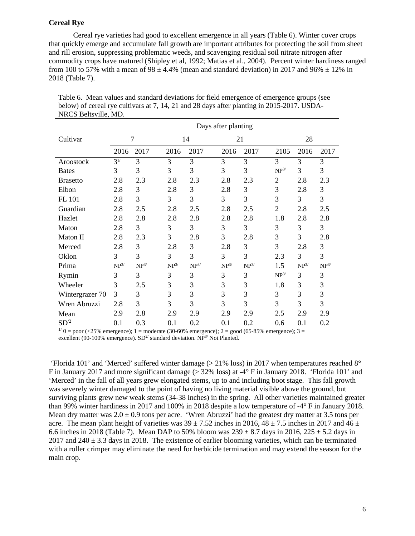# **Cereal Rye**

Cereal rye varieties had good to excellent emergence in all years (Table 6). Winter cover crops that quickly emerge and accumulate fall growth are important attributes for protecting the soil from sheet and rill erosion, suppressing problematic weeds, and scavenging residual soil nitrate nitrogen after commodity crops have matured (Shipley et al, 1992; Matias et al., 2004). Percent winter hardiness ranged from 100 to 57% with a mean of  $98 \pm 4.4$ % (mean and standard deviation) in 2017 and  $96\% \pm 12\%$  in 2018 (Table 7).

|                 | Days after planting |           |           |           |                    |                    |                |                    |                    |  |
|-----------------|---------------------|-----------|-----------|-----------|--------------------|--------------------|----------------|--------------------|--------------------|--|
| Cultivar        |                     | 7         |           | 14        | 21                 |                    | 28             |                    |                    |  |
|                 | 2016                | 2017      | 2016      | 2017      | 2016               | 2017               | 2105           | 2016               | 2017               |  |
| Aroostock       | $3^{1/}$            | 3         | 3         | 3         | $\overline{3}$     | 3                  | 3              | 3                  | 3                  |  |
| <b>Bates</b>    | 3                   | 3         | 3         | 3         | 3                  | 3                  | $NP^{3/}$      | 3                  | 3                  |  |
| <b>Brasetto</b> | 2.8                 | 2.3       | 2.8       | 2.3       | 2.8                | 2.3                | $\overline{2}$ | 2.8                | 2.3                |  |
| Elbon           | 2.8                 | 3         | 2.8       | 3         | 2.8                | 3                  | 3              | 2.8                | 3                  |  |
| FL 101          | 2.8                 | 3         | 3         | 3         | 3                  | 3                  | 3              | 3                  | 3                  |  |
| Guardian        | 2.8                 | 2.5       | 2.8       | 2.5       | 2.8                | 2.5                | $\overline{2}$ | 2.8                | 2.5                |  |
| Hazlet          | 2.8                 | 2.8       | 2.8       | 2.8       | 2.8                | 2.8                | 1.8            | 2.8                | 2.8                |  |
| Maton           | 2.8                 | 3         | 3         | 3         | 3                  | 3                  | 3              | 3                  | 3                  |  |
| Maton II        | 2.8                 | 2.3       | 3         | 2.8       | 3                  | 2.8                | 3              | 3                  | 2.8                |  |
| Merced          | 2.8                 | 3         | 2.8       | 3         | 2.8                | 3                  | 3              | 2.8                | 3                  |  |
| Oklon           | 3                   | 3         | 3         | 3         | 3                  | 3                  | 2.3            | 3                  | 3                  |  |
| Prima           | $\mathbf{NP}^{3/}$  | $NP^{3/}$ | $NP^{3/}$ | $NP^{3/}$ | $\mathbf{NP}^{3/}$ | $\mathbf{NP}^{3/}$ | 1.5            | $\mathbf{NP}^{3/}$ | $\mathbf{NP}^{3/}$ |  |
| Rymin           | 3                   | 3         | 3         | 3         | 3                  | 3                  | $NP^{3/}$      | 3                  | 3                  |  |
| Wheeler         | 3                   | 2.5       | 3         | 3         | 3                  | 3                  | 1.8            | 3                  | 3                  |  |
| Wintergrazer 70 | 3                   | 3         | 3         | 3         | 3                  | 3                  | 3              | 3                  | 3                  |  |
| Wren Abruzzi    | 2.8                 | 3         | 3         | 3         | 3                  | 3                  | 3              | 3                  | $\mathfrak{Z}$     |  |
| Mean            | 2.9                 | 2.8       | 2.9       | 2.9       | 2.9                | 2.9                | 2.5            | 2.9                | 2.9                |  |
| $SD^2$          | 0.1                 | 0.3       | 0.1       | 0.2       | 0.1                | 0.2                | 0.6            | 0.1                | 0.2                |  |

Table 6. Mean values and standard deviations for field emergence of emergence groups (see below) of cereal rye cultivars at 7, 14, 21 and 28 days after planting in 2015-2017. USDA-NRCS Beltsville, MD.

 $1/10 =$  poor (<25% emergence); 1 = moderate (30-60% emergence); 2 = good (65-85% emergence); 3 = excellent (90-100% emergence).  $SD<sup>2</sup>$  standard deviation. NP<sup>3/</sup> Not Planted.

'Florida 101' and 'Merced' suffered winter damage ( $>$  21% loss) in 2017 when temperatures reached 8° F in January 2017 and more significant damage (> 32% loss) at -4° F in January 2018. 'Florida 101' and 'Merced' in the fall of all years grew elongated stems, up to and including boot stage. This fall growth was severely winter damaged to the point of having no living material visible above the ground, but surviving plants grew new weak stems (34-38 inches) in the spring. All other varieties maintained greater than 99% winter hardiness in 2017 and 100% in 2018 despite a low temperature of -4° F in January 2018. Mean dry matter was  $2.0 \pm 0.9$  tons per acre. 'Wren Abruzzi' had the greatest dry matter at 3.5 tons per acre. The mean plant height of varieties was  $39 \pm 7.52$  inches in 2016,  $48 \pm 7.5$  inches in 2017 and  $46 \pm 7.5$ 6.6 inches in 2018 (Table 7). Mean DAP to 50% bloom was  $239 \pm 8.7$  days in 2016,  $225 \pm 5.2$  days in 2017 and 240  $\pm$  3.3 days in 2018. The existence of earlier blooming varieties, which can be terminated with a roller crimper may eliminate the need for herbicide termination and may extend the season for the main crop.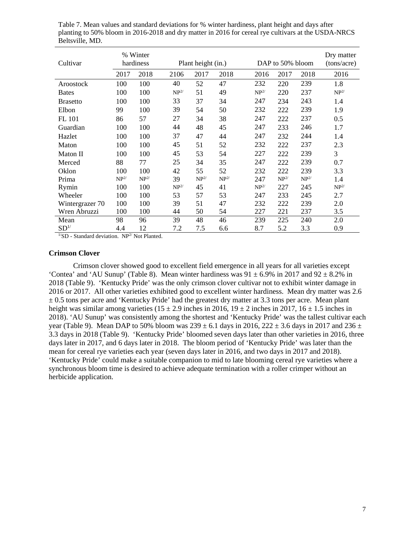| Cultivar        | % Winter<br>hardiness |                  |                         | Plant height (in.)      |                  |  | DAP to 50% bloom        | Dry matter<br>(tons/acre) |                  |                  |
|-----------------|-----------------------|------------------|-------------------------|-------------------------|------------------|--|-------------------------|---------------------------|------------------|------------------|
|                 | 2017                  | 2018             | 2106                    | 2017                    | 2018             |  | 2016                    | 2017                      | 2018             | 2016             |
| Aroostock       | 100                   | 100              | 40                      | 52                      | 47               |  | 232                     | 220                       | 239              | 1.8              |
| <b>Bates</b>    | 100                   | 100              | NP <sup>2</sup>         | 51                      | 49               |  | NP <sup>2</sup>         | 220                       | 237              | NP <sup>2/</sup> |
| <b>Brasetto</b> | 100                   | 100              | 33                      | 37                      | 34               |  | 247                     | 234                       | 243              | 1.4              |
| Elbon           | 99                    | 100              | 39                      | 54                      | 50               |  | 232                     | 222                       | 239              | 1.9              |
| FL 101          | 86                    | 57               | 27                      | 34                      | 38               |  | 247                     | 222                       | 237              | 0.5              |
| Guardian        | 100                   | 100              | 44                      | 48                      | 45               |  | 247                     | 233                       | 246              | 1.7              |
| Hazlet          | 100                   | 100              | 37                      | 47                      | 44               |  | 247                     | 232                       | 244              | 1.4              |
| Maton           | 100                   | 100              | 45                      | 51                      | 52               |  | 232                     | 222                       | 237              | 2.3              |
| Maton II        | 100                   | 100              | 45                      | 53                      | 54               |  | 227                     | 222                       | 239              | 3                |
| Merced          | 88                    | 77               | 25                      | 34                      | 35               |  | 247                     | 222                       | 239              | 0.7              |
| Oklon           | 100                   | 100              | 42                      | 55                      | 52               |  | 232                     | 222                       | 239              | 3.3              |
| Prima           | NP <sup>2/</sup>      | NP <sup>2/</sup> | 39                      | $\mathbf{NP}^{2\prime}$ | NP <sup>2/</sup> |  | 247                     | NP <sup>2/</sup>          | NP <sup>2/</sup> | 1.4              |
| Rymin           | 100                   | 100              | $\mathbf{NP}^{2\prime}$ | 45                      | 41               |  | $\mathbf{NP}^{2\prime}$ | 227                       | 245              | NP <sup>2/</sup> |
| Wheeler         | 100                   | 100              | 53                      | 57                      | 53               |  | 247                     | 233                       | 245              | 2.7              |
| Wintergrazer 70 | 100                   | 100              | 39                      | 51                      | 47               |  | 232                     | 222                       | 239              | 2.0              |
| Wren Abruzzi    | 100                   | 100              | 44                      | 50                      | 54               |  | 227                     | 221                       | 237              | 3.5              |
| Mean            | 98                    | 96               | 39                      | 48                      | 46               |  | 239                     | 225                       | 240              | 2.0              |
| $SD^{1/}$       | 4.4                   | 12               | 7.2                     | 7.5                     | 6.6              |  | 8.7                     | 5.2                       | 3.3              | 0.9              |

Table 7. Mean values and standard deviations for % winter hardiness, plant height and days after planting to 50% bloom in 2016-2018 and dry matter in 2016 for cereal rye cultivars at the USDA-NRCS Beltsville, MD.

 $1/\text{SD}$  - Standard deviation. NP<sup>2/</sup> Not Planted.

#### **Crimson Clover**

Crimson clover showed good to excellent field emergence in all years for all varieties except 'Contea' and 'AU Sunup' (Table 8). Mean winter hardiness was  $91 \pm 6.9\%$  in 2017 and  $92 \pm 8.2\%$  in 2018 (Table 9). 'Kentucky Pride' was the only crimson clover cultivar not to exhibit winter damage in 2016 or 2017. All other varieties exhibited good to excellent winter hardiness. Mean dry matter was 2.6  $\pm$  0.5 tons per acre and 'Kentucky Pride' had the greatest dry matter at 3.3 tons per acre. Mean plant height was similar among varieties (15  $\pm$  2.9 inches in 2016, 19  $\pm$  2 inches in 2017, 16  $\pm$  1.5 inches in 2018). 'AU Sunup' was consistently among the shortest and 'Kentucky Pride' was the tallest cultivar each year (Table 9). Mean DAP to 50% bloom was  $239 \pm 6.1$  days in 2016,  $222 \pm 3.6$  days in 2017 and 236  $\pm$ 3.3 days in 2018 (Table 9). 'Kentucky Pride' bloomed seven days later than other varieties in 2016, three days later in 2017, and 6 days later in 2018. The bloom period of 'Kentucky Pride' was later than the mean for cereal rye varieties each year (seven days later in 2016, and two days in 2017 and 2018). 'Kentucky Pride' could make a suitable companion to mid to late blooming cereal rye varieties where a synchronous bloom time is desired to achieve adequate termination with a roller crimper without an herbicide application.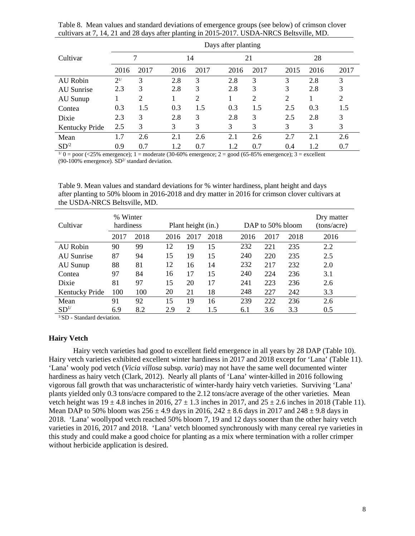Table 8. Mean values and standard deviations of emergence groups (see below) of crimson clover cultivars at 7, 14, 21 and 28 days after planting in 2015-2017. USDA-NRCS Beltsville, MD.

|                 | Days after planting |      |      |                |      |                |      |      |      |
|-----------------|---------------------|------|------|----------------|------|----------------|------|------|------|
| Cultivar        |                     |      | 14   |                |      | 21             | 28   |      |      |
|                 | 2016                | 2017 | 2016 | 2017           | 2016 | 2017           | 2015 | 2016 | 2017 |
| <b>AU</b> Robin | $2^{1/}$            | 3    | 2.8  | 3              | 2.8  | 3              | 3    | 2.8  | 3    |
| AU Sunrise      | 2.3                 | 3    | 2.8  | 3              | 2.8  | 3              | 3    | 2.8  | 3    |
| AU Sunup        |                     | 2    |      | $\overline{2}$ |      | $\overline{2}$ | 2    |      | 2    |
| Contea          | 0.3                 | 1.5  | 0.3  | 1.5            | 0.3  | 1.5            | 2.5  | 0.3  | 1.5  |
| Dixie           | 2.3                 | 3    | 2.8  | 3              | 2.8  | 3              | 2.5  | 2.8  | 3    |
| Kentucky Pride  | 2.5                 | 3    | 3    | 3              | 3    | 3              | 3    | 3    | 3    |
| Mean            | 1.7                 | 2.6  | 2.1  | 2.6            | 2.1  | 2.6            | 2.7  | 2.1  | 2.6  |
| $SD^2$          | 0.9                 | 0.7  | 1.2  | 0.7            | 1.2  | 0.7            | 0.4  | 1.2  | 0.7  |

 $1/0 =$  poor (<25% emergence); 1 = moderate (30-60% emergence; 2 = good (65-85% emergence); 3 = excellent (90-100% emergence).  $SD<sup>2/</sup>$  standard deviation.

Table 9. Mean values and standard deviations for % winter hardiness, plant height and days after planting to 50% bloom in 2016-2018 and dry matter in 2016 for crimson clover cultivars at the USDA-NRCS Beltsville, MD.

| Cultivar        | % Winter<br>hardiness |      |      | Plant height (in.) |      |  |      | DAP to 50% bloom | Dry matter<br>(tons/acre) |      |
|-----------------|-----------------------|------|------|--------------------|------|--|------|------------------|---------------------------|------|
|                 | 2017                  | 2018 | 2016 | 2017               | 2018 |  | 2016 | 2017             | 2018                      | 2016 |
| AU Robin        | 90                    | 99   | 12   | 19                 | 15   |  | 232  | 221              | 235                       | 2.2  |
| AU Sunrise      | 87                    | 94   | 15   | 19                 | 15   |  | 240  | 220              | 235                       | 2.5  |
| AU Sunup        | 88                    | 81   | 12   | 16                 | 14   |  | 232  | 217              | 232                       | 2.0  |
| Contea          | 97                    | 84   | 16   | 17                 | 15   |  | 240  | 224              | 236                       | 3.1  |
| Dixie           | 81                    | 97   | 15   | 20                 | 17   |  | 241  | 223              | 236                       | 2.6  |
| Kentucky Pride  | 100                   | 100  | 20   | 21                 | 18   |  | 248  | 227              | 242                       | 3.3  |
| Mean            | 91                    | 92   | 15   | 19                 | 16   |  | 239  | 222              | 236                       | 2.6  |
| SD <sup>1</sup> | 6.9                   | 8.2  | 2.9  | 2                  | 1.5  |  | 6.1  | 3.6              | 3.3                       | 0.5  |

 $\rm ^{1/}SD$  - Standard deviation.

# **Hairy Vetch**

Hairy vetch varieties had good to excellent field emergence in all years by 28 DAP (Table 10). Hairy vetch varieties exhibited excellent winter hardiness in 2017 and 2018 except for 'Lana' (Table 11). 'Lana' wooly pod vetch (*Vicia villosa* subsp. *varia*) may not have the same well documented winter hardiness as hairy vetch (Clark, 2012). Nearly all plants of 'Lana' winter-killed in 2016 following vigorous fall growth that was uncharacteristic of winter-hardy hairy vetch varieties. Surviving 'Lana' plants yielded only 0.3 tons/acre compared to the 2.12 tons/acre average of the other varieties. Mean vetch height was  $19 \pm 4.8$  inches in 2016,  $27 \pm 1.3$  inches in 2017, and  $25 \pm 2.6$  inches in 2018 (Table 11). Mean DAP to 50% bloom was  $256 \pm 4.9$  days in 2016,  $242 \pm 8.6$  days in 2017 and  $248 \pm 9.8$  days in 2018. 'Lana' woollypod vetch reached 50% bloom 7, 19 and 12 days sooner than the other hairy vetch varieties in 2016, 2017 and 2018. 'Lana' vetch bloomed synchronously with many cereal rye varieties in this study and could make a good choice for planting as a mix where termination with a roller crimper without herbicide application is desired.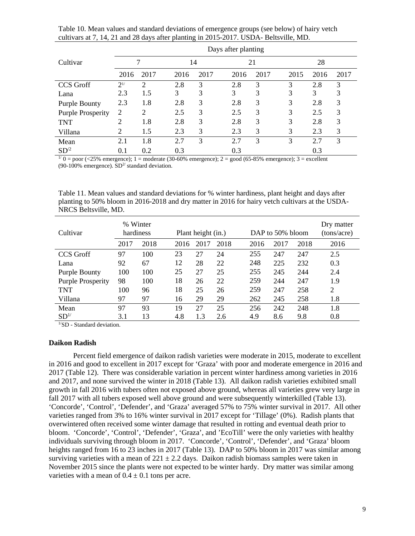|                          |           | Days after planting |      |      |      |      |      |      |      |  |  |  |
|--------------------------|-----------|---------------------|------|------|------|------|------|------|------|--|--|--|
| Cultivar                 |           |                     |      | 14   |      | 21   | 28   |      |      |  |  |  |
|                          | 2016      | 2017                | 2016 | 2017 | 2016 | 2017 | 2015 | 2016 | 2017 |  |  |  |
| CCS Groff                | $2^{1/2}$ | $\overline{2}$      | 2.8  | 3    | 2.8  | 3    | 3    | 2.8  | 3    |  |  |  |
| Lana                     | 2.3       | 1.5                 | 3    | 3    | 3    | 3    | 3    | 3    | 3    |  |  |  |
| <b>Purple Bounty</b>     | 2.3       | 1.8                 | 2.8  | 3    | 2.8  | 3    | 3    | 2.8  | 3    |  |  |  |
| <b>Purple Prosperity</b> | 2         | 2                   | 2.5  | 3    | 2.5  | 3    | 3    | 2.5  | 3    |  |  |  |
| <b>TNT</b>               | 2         | 1.8                 | 2.8  | 3    | 2.8  | 3    | 3    | 2.8  | 3    |  |  |  |
| Villana                  | 2         | 1.5                 | 2.3  | 3    | 2.3  | 3    | 3    | 2.3  | 3    |  |  |  |
| Mean                     | 2.1       | 1.8                 | 2.7  | 3    | 2.7  | 3    | 3    | 2.7  | 3    |  |  |  |
| $SD^2$                   | 0.1       | 0.2                 | 0.3  |      | 0.3  |      |      | 0.3  |      |  |  |  |

Table 10. Mean values and standard deviations of emergence groups (see below) of hairy vetch cultivars at 7, 14, 21 and 28 days after planting in 2015-2017. USDA- Beltsville, MD.

 $1/0 =$  poor (<25% emergence); 1 = moderate (30-60% emergence); 2 = good (65-85% emergence); 3 = excellent (90-100% emergence).  $SD<sup>2</sup>$  standard deviation.

Table 11. Mean values and standard deviations for % winter hardiness, plant height and days after planting to 50% bloom in 2016-2018 and dry matter in 2016 for hairy vetch cultivars at the USDA-NRCS Beltsville, MD.

| % Winter<br>Cultivar<br>hardiness |      |      |      | Plant height (in.) |      |      | DAP to 50% bloom | Dry matter<br>(tons/acre) |                |
|-----------------------------------|------|------|------|--------------------|------|------|------------------|---------------------------|----------------|
|                                   | 2017 | 2018 | 2016 | 2017               | 2018 | 2016 | 2017             | 2018                      | 2016           |
| CCS Groff                         | 97   | 100  | 23   | 27                 | 24   | 255  | 247              | 247                       | 2.5            |
| Lana                              | 92   | 67   | 12   | 28                 | 22   | 248  | 225              | 232                       | 0.3            |
| <b>Purple Bounty</b>              | 100  | 100  | 25   | 27                 | 25   | 255  | 245              | 244                       | 2.4            |
| <b>Purple Prosperity</b>          | 98   | 100  | 18   | 26                 | 22   | 259  | 244              | 247                       | 1.9            |
| TNT                               | 100  | 96   | 18   | 25                 | 26   | 259  | 247              | 258                       | $\overline{2}$ |
| Villana                           | 97   | 97   | 16   | 29                 | 29   | 262  | 245              | 258                       | 1.8            |
| Mean                              | 97   | 93   | 19   | 27                 | 25   | 256  | 242              | 248                       | 1.8            |
| SD <sup>1/</sup>                  | 3.1  | 13   | 4.8  | 1.3                | 2.6  | 4.9  | 8.6              | 9.8                       | 0.8            |

<sup>1/</sup>SD - Standard deviation.

# **Daikon Radish**

Percent field emergence of daikon radish varieties were moderate in 2015, moderate to excellent in 2016 and good to excellent in 2017 except for 'Graza' with poor and moderate emergence in 2016 and 2017 (Table 12). There was considerable variation in percent winter hardiness among varieties in 2016 and 2017, and none survived the winter in 2018 (Table 13). All daikon radish varieties exhibited small growth in fall 2016 with tubers often not exposed above ground, whereas all varieties grew very large in fall 2017 with all tubers exposed well above ground and were subsequently winterkilled (Table 13). 'Concorde', 'Control', 'Defender', and 'Graza' averaged 57% to 75% winter survival in 2017. All other varieties ranged from 3% to 16% winter survival in 2017 except for 'Tillage' (0%). Radish plants that overwintered often received some winter damage that resulted in rotting and eventual death prior to bloom. 'Concorde', 'Control', 'Defender', 'Graza', and 'EcoTill' were the only varieties with healthy individuals surviving through bloom in 2017. 'Concorde', 'Control', 'Defender', and 'Graza' bloom heights ranged from 16 to 23 inches in 2017 (Table 13). DAP to 50% bloom in 2017 was similar among surviving varieties with a mean of  $221 \pm 2.2$  days. Daikon radish biomass samples were taken in November 2015 since the plants were not expected to be winter hardy. Dry matter was similar among varieties with a mean of  $0.4 \pm 0.1$  tons per acre.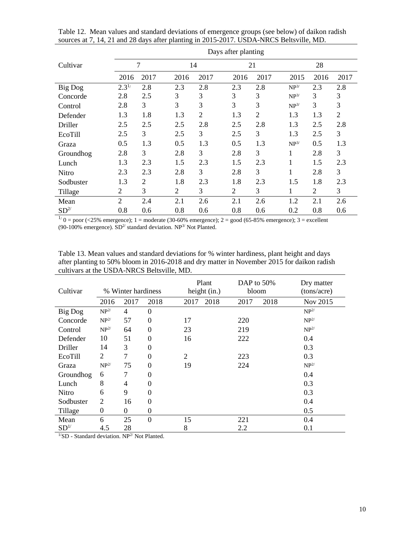|                 | Days after planting |      |      |                |                |                |                  |      |                |  |  |  |
|-----------------|---------------------|------|------|----------------|----------------|----------------|------------------|------|----------------|--|--|--|
| Cultivar        |                     | 7    | 14   |                | 21             |                |                  | 28   |                |  |  |  |
|                 | 2016                | 2017 | 2016 | 2017           | 2016           | 2017           | 2015             | 2016 | 2017           |  |  |  |
| Big Dog         | $2.3^{1/2}$         | 2.8  | 2.3  | 2.8            | 2.3            | 2.8            | $NP^{3/}$        | 2.3  | 2.8            |  |  |  |
| Concorde        | 2.8                 | 2.5  | 3    | 3              | 3              | 3              | $NP^{3/}$        | 3    | 3              |  |  |  |
| Control         | 2.8                 | 3    | 3    | 3              | 3              | 3              | NP <sup>3/</sup> | 3    | 3              |  |  |  |
| Defender        | 1.3                 | 1.8  | 1.3  | $\overline{2}$ | 1.3            | $\overline{2}$ | 1.3              | 1.3  | $\overline{2}$ |  |  |  |
| Driller         | 2.5                 | 2.5  | 2.5  | 2.8            | 2.5            | 2.8            | 1.3              | 2.5  | 2.8            |  |  |  |
| EcoTill         | 2.5                 | 3    | 2.5  | 3              | 2.5            | 3              | 1.3              | 2.5  | 3              |  |  |  |
| Graza           | 0.5                 | 1.3  | 0.5  | 1.3            | 0.5            | 1.3            | $NP^{3/}$        | 0.5  | 1.3            |  |  |  |
| Groundhog       | 2.8                 | 3    | 2.8  | 3              | 2.8            | 3              | 1                | 2.8  | 3              |  |  |  |
| Lunch           | 1.3                 | 2.3  | 1.5  | 2.3            | 1.5            | 2.3            | 1                | 1.5  | 2.3            |  |  |  |
| <b>Nitro</b>    | 2.3                 | 2.3  | 2.8  | 3              | 2.8            | 3              | 1                | 2.8  | 3              |  |  |  |
| Sodbuster       | 1.3                 | 2    | 1.8  | 2.3            | 1.8            | 2.3            | 1.5              | 1.8  | 2.3            |  |  |  |
| Tillage         | 2                   | 3    | 2    | 3              | $\overline{2}$ | 3              | 1                | 2    | 3              |  |  |  |
| Mean            | $\overline{2}$      | 2.4  | 2.1  | 2.6            | 2.1            | 2.6            | 1.2              | 2.1  | 2.6            |  |  |  |
| SD <sup>2</sup> | 0.8                 | 0.6  | 0.8  | 0.6            | 0.8            | 0.6            | 0.2              | 0.8  | 0.6            |  |  |  |

Table 12. Mean values and standard deviations of emergence groups (see below) of daikon radish sources at 7, 14, 21 and 28 days after planting in 2015-2017. USDA-NRCS Beltsville, MD.

 $1/0 =$  poor (<25% emergence); 1 = moderate (30-60% emergence); 2 = good (65-85% emergence); 3 = excellent (90-100% emergence).  $SD<sup>2</sup>$  standard deviation. NP<sup>3/</sup> Not Planted.

Table 13. Mean values and standard deviations for % winter hardiness, plant height and days after planting to 50% bloom in 2016-2018 and dry matter in November 2015 for daikon radish cultivars at the USDA-NRCS Beltsville, MD.

| Cultivar         |                  | % Winter hardiness |                  | Plant<br>height (in.) | DAP to $50\%$<br>bloom | Dry matter<br>(tons/acre) |
|------------------|------------------|--------------------|------------------|-----------------------|------------------------|---------------------------|
|                  | 2016             | 2017               | 2018             | 2018<br>2017          | 2018<br>2017           | Nov 2015                  |
| Big Dog          | NP <sup>2/</sup> | 4                  | $\theta$         |                       |                        | NP <sup>2/</sup>          |
| Concorde         | NP <sup>2/</sup> | 57                 | $\overline{0}$   | 17                    | 220                    | NP <sup>2/</sup>          |
| Control          | NP <sup>2/</sup> | 64                 | $\overline{0}$   | 23                    | 219                    | NP <sup>2/</sup>          |
| Defender         | 10               | 51                 | $\boldsymbol{0}$ | 16                    | 222                    | 0.4                       |
| Driller          | 14               | 3                  | $\overline{0}$   |                       |                        | 0.3                       |
| EcoTill          | $\overline{2}$   | 7                  | $\overline{0}$   | $\overline{2}$        | 223                    | 0.3                       |
| Graza            | NP <sup>2/</sup> | 75                 | $\theta$         | 19                    | 224                    | NP <sup>2/</sup>          |
| Groundhog        | 6                | 7                  | $\overline{0}$   |                       |                        | 0.4                       |
| Lunch            | 8                | 4                  | $\theta$         |                       |                        | 0.3                       |
| Nitro            | 6                | 9                  | $\theta$         |                       |                        | 0.3                       |
| Sodbuster        | 2                | 16                 | $\overline{0}$   |                       |                        | 0.4                       |
| Tillage          | $\overline{0}$   | $\boldsymbol{0}$   | $\overline{0}$   |                       |                        | 0.5                       |
| Mean             | 6                | 25                 | $\theta$         | 15                    | 221                    | 0.4                       |
| SD <sup>1/</sup> | 4.5              | 28                 |                  | 8                     | 2.2                    | 0.1                       |

 $\frac{1}{S}$ D - Standard deviation. NP<sup>2/</sup> Not Planted.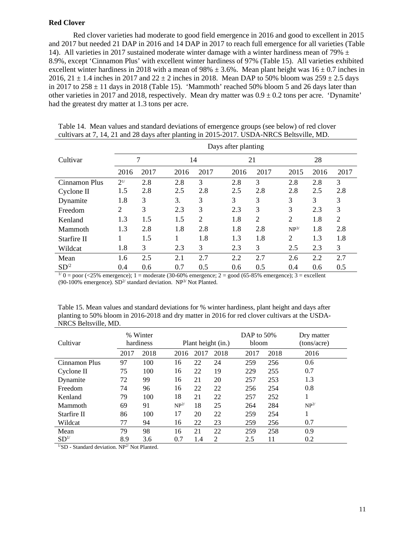#### **Red Clover**

 Red clover varieties had moderate to good field emergence in 2016 and good to excellent in 2015 and 2017 but needed 21 DAP in 2016 and 14 DAP in 2017 to reach full emergence for all varieties (Table 14). All varieties in 2017 sustained moderate winter damage with a winter hardiness mean of 79%  $\pm$ 8.9%, except 'Cinnamon Plus' with excellent winter hardiness of 97% (Table 15). All varieties exhibited excellent winter hardiness in 2018 with a mean of 98%  $\pm$  3.6%. Mean plant height was 16  $\pm$  0.7 inches in 2016,  $21 \pm 1.4$  inches in 2017 and  $22 \pm 2$  inches in 2018. Mean DAP to 50% bloom was  $259 \pm 2.5$  days in 2017 to  $258 \pm 11$  days in 2018 (Table 15). 'Mammoth' reached 50% bloom 5 and 26 days later than other varieties in 2017 and 2018, respectively. Mean dry matter was  $0.9 \pm 0.2$  tons per acre. 'Dynamite' had the greatest dry matter at 1.3 tons per acre.

|               |           |      |      |      | Days after planting |                |                  |      |                |
|---------------|-----------|------|------|------|---------------------|----------------|------------------|------|----------------|
| Cultivar      | 7         |      | 14   |      | 21                  |                | 28               |      |                |
|               | 2016      | 2017 | 2016 | 2017 | 2016                | 2017           | 2015             | 2016 | 2017           |
| Cinnamon Plus | $2^{1/2}$ | 2.8  | 2.8  | 3    | 2.8                 | 3              | 2.8              | 2.8  | 3              |
| Cyclone II    | 1.5       | 2.8  | 2.5  | 2.8  | 2.5                 | 2.8            | 2.8              | 2.5  | 2.8            |
| Dynamite      | 1.8       | 3    | 3.   | 3    | 3                   | 3              | 3                | 3    | 3              |
| Freedom       | 2         | 3    | 2.3  | 3    | 2.3                 | 3              | 3                | 2.3  | 3              |
| Kenland       | 1.3       | 1.5  | 1.5  | 2    | 1.8                 | $\overline{2}$ | 2                | 1.8  | $\overline{2}$ |
| Mammoth       | 1.3       | 2.8  | 1.8  | 2.8  | 1.8                 | 2.8            | NP <sup>3/</sup> | 1.8  | 2.8            |
| Starfire II   |           | 1.5  | 1    | 1.8  | 1.3                 | 1.8            | 2                | 1.3  | 1.8            |
| Wildcat       | 1.8       | 3    | 2.3  | 3    | 2.3                 | 3              | 2.5              | 2.3  | 3              |
| Mean          | 1.6       | 2.5  | 2.1  | 2.7  | 2.2                 | 2.7            | 2.6              | 2.2  | 2.7            |
| $SD^2$        | 0.4       | 0.6  | 0.7  | 0.5  | 0.6                 | 0.5            | 0.4              | 0.6  | 0.5            |

Table 14. Mean values and standard deviations of emergence groups (see below) of red clover cultivars at 7, 14, 21 and 28 days after planting in 2015-2017. USDA-NRCS Beltsville, MD.

 $1/0$  = poor (<25% emergence); 1 = moderate (30-60% emergence; 2 = good (65-85% emergence); 3 = excellent (90-100% emergence).  $SD<sup>2/</sup>$  standard deviation.  $NP<sup>3/</sup>$  Not Planted.

Table 15. Mean values and standard deviations for % winter hardiness, plant height and days after planting to 50% bloom in 2016-2018 and dry matter in 2016 for red clover cultivars at the USDA-NRCS Beltsville, MD.

| Cultivar        |      | % Winter<br>hardiness | Plant height (in.) |      |      | DAP to 50%<br>bloom |      | Dry matter<br>(tons/acre) |
|-----------------|------|-----------------------|--------------------|------|------|---------------------|------|---------------------------|
|                 | 2017 | 2018                  | 2016               | 2017 | 2018 | 2017                | 2018 | 2016                      |
| Cinnamon Plus   | 97   | 100                   | 16                 | 22   | 24   | 259                 | 256  | 0.6                       |
| Cyclone II      | 75   | 100                   | 16                 | 22   | 19   | 229                 | 255  | 0.7                       |
| Dynamite        | 72   | 99                    | 16                 | 21   | 20   | 257                 | 253  | 1.3                       |
| Freedom         | 74   | 96                    | 16                 | 22   | 22   | 256                 | 254  | 0.8                       |
| Kenland         | 79   | 100                   | 18                 | 21   | 22   | 257                 | 252  | 1                         |
| Mammoth         | 69   | 91                    | NP <sup>2</sup>    | 18   | 25   | 264                 | 284  | NP <sup>2</sup>           |
| Starfire II     | 86   | 100                   | 17                 | 20   | 22   | 259                 | 254  | 1                         |
| Wildcat         | 77   | 94                    | 16                 | 22   | 23   | 259                 | 256  | 0.7                       |
| Mean            | 79   | 98                    | 16                 | 21   | 22   | 259                 | 258  | 0.9                       |
| SD <sup>1</sup> | 8.9  | 3.6                   | 0.7                | 1.4  | 2    | 2.5                 | 11   | 0.2                       |

 $1/\text{SD}$  - Standard deviation. NP<sup>2/</sup> Not Planted.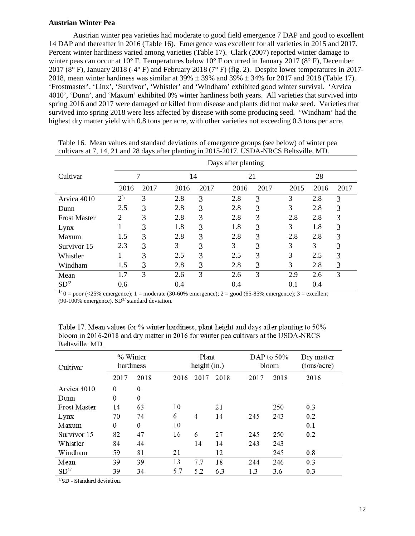# **Austrian Winter Pea**

Austrian winter pea varieties had moderate to good field emergence 7 DAP and good to excellent 14 DAP and thereafter in 2016 (Table 16). Emergence was excellent for all varieties in 2015 and 2017. Percent winter hardiness varied among varieties (Table 17). Clark (2007) reported winter damage to winter peas can occur at 10° F. Temperatures below 10° F occurred in January 2017 (8° F), December 2017 (8° F), January 2018 (-4° F) and February 2018 (7° F) (fig. 2). Despite lower temperatures in 2017- 2018, mean winter hardiness was similar at  $39\% \pm 39\%$  and  $39\% \pm 34\%$  for 2017 and 2018 (Table 17). 'Frostmaster', 'Linx', 'Survivor', 'Whistler' and 'Windham' exhibited good winter survival. 'Arvica 4010', 'Dunn', and 'Maxum' exhibited 0% winter hardiness both years. All varieties that survived into spring 2016 and 2017 were damaged or killed from disease and plants did not make seed. Varieties that survived into spring 2018 were less affected by disease with some producing seed. 'Windham' had the highest dry matter yield with 0.8 tons per acre, with other varieties not exceeding 0.3 tons per acre.

|                     |           |      |      |      | Days after planting |      |      |      |      |
|---------------------|-----------|------|------|------|---------------------|------|------|------|------|
| Cultivar            | 7         |      | 14   |      | 21                  |      | 28   |      |      |
|                     | 2016      | 2017 | 2016 | 2017 | 2016                | 2017 | 2015 | 2016 | 2017 |
| Arvica 4010         | $2^{1/2}$ | 3    | 2.8  | 3    | 2.8                 | 3    | 3    | 2.8  | 3    |
| Dunn                | 2.5       | 3    | 2.8  | 3    | 2.8                 | 3    | 3    | 2.8  | 3    |
| <b>Frost Master</b> | 2         | 3    | 2.8  | 3    | 2.8                 | 3    | 2.8  | 2.8  | 3    |
| Lynx                |           | 3    | 1.8  | 3    | 1.8                 | 3    | 3    | 1.8  | 3    |
| Maxum               | 1.5       | 3    | 2.8  | 3    | 2.8                 | 3    | 2.8  | 2.8  | 3    |
| Survivor 15         | 2.3       | 3    | 3    | 3    | 3                   | 3    | 3    | 3    | 3    |
| Whistler            |           | 3    | 2.5  | 3    | 2.5                 | 3    | 3    | 2.5  | 3    |
| Windham             | 1.5       | 3    | 2.8  | 3    | 2.8                 | 3    | 3    | 2.8  | 3    |
| Mean                | 1.7       | 3    | 2.6  | 3    | 2.6                 | 3    | 2.9  | 2.6  | 3    |
| $SD^2$              | 0.6       |      | 0.4  |      | 0.4                 |      | 0.1  | 0.4  |      |

Table 16. Mean values and standard deviations of emergence groups (see below) of winter pea cultivars at 7, 14, 21 and 28 days after planting in 2015-2017. USDA-NRCS Beltsville, MD.

 $1/0 =$  poor (<25% emergence); 1 = moderate (30-60% emergence); 2 = good (65-85% emergence); 3 = excellent (90-100% emergence).  $SD<sup>2</sup>$  standard deviation.

Table 17. Mean values for % winter hardiness, plant height and days after planting to 50% bloom in 2016-2018 and dry matter in 2016 for winter pea cultivars at the USDA-NRCS Beltsville, MD.

| Cultivar            | % Winter<br>hardiness |                  | Plant<br>height $(in.)$ |      |      | DAP to $50\%$<br>bloom |      | Dry matter<br>(tons/acre) |
|---------------------|-----------------------|------------------|-------------------------|------|------|------------------------|------|---------------------------|
|                     | 2017                  | 2018             | 2016                    | 2017 | 2018 | 2017                   | 2018 | 2016                      |
| Arvica 4010         | $\theta$              | $\mathbf{0}$     |                         |      |      |                        |      |                           |
| Dunn                | 0                     | $\boldsymbol{0}$ |                         |      |      |                        |      |                           |
| <b>Frost Master</b> | 14                    | 63               | 10                      |      | 21   |                        | 250  | 0.3                       |
| Lynx                | 70                    | 74               | 6                       | 4    | 14   | 245                    | 243  | 0.2                       |
| Maxum               | $\Omega$              | 0                | 10                      |      |      |                        |      | 0.1                       |
| Survivor 15         | 82                    | 47               | 16                      | 6    | 27   | 245                    | 250  | 0.2                       |
| Whistler            | 84                    | 44               |                         | 14   | 14   | 243                    | 243  |                           |
| Windham             | 59                    | 81               | 21                      |      | 12   |                        | 245  | 0.8                       |
| Mean                | 39                    | 39               | 13                      | 7.7  | 18   | 244                    | 246  | 0.3                       |
| SD <sup>1</sup>     | 39                    | 34               | 5.7                     | 5.2  | 6.3  | 1.3                    | 3.6  | 0.3                       |

 $1/\text{SD}$  - Standard deviation.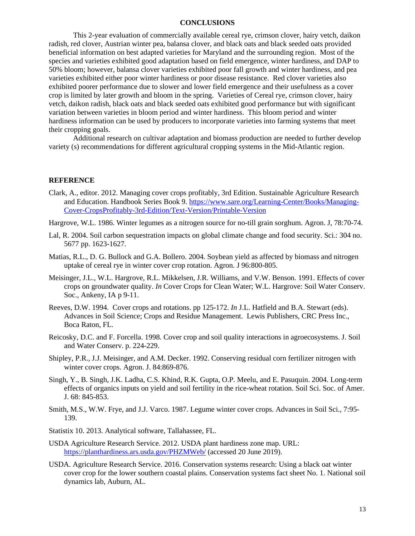# **CONCLUSIONS**

This 2-year evaluation of commercially available cereal rye, crimson clover, hairy vetch, daikon radish, red clover, Austrian winter pea, balansa clover, and black oats and black seeded oats provided beneficial information on best adapted varieties for Maryland and the surrounding region. Most of the species and varieties exhibited good adaptation based on field emergence, winter hardiness, and DAP to 50% bloom; however, balansa clover varieties exhibited poor fall growth and winter hardiness, and pea varieties exhibited either poor winter hardiness or poor disease resistance. Red clover varieties also exhibited poorer performance due to slower and lower field emergence and their usefulness as a cover crop is limited by later growth and bloom in the spring. Varieties of Cereal rye, crimson clover, hairy vetch, daikon radish, black oats and black seeded oats exhibited good performance but with significant variation between varieties in bloom period and winter hardiness. This bloom period and winter hardiness information can be used by producers to incorporate varieties into farming systems that meet their cropping goals.

Additional research on cultivar adaptation and biomass production are needed to further develop variety (s) recommendations for different agricultural cropping systems in the Mid-Atlantic region.

#### **REFERENCE**

- Clark, A., editor. 2012. Managing cover crops profitably, 3rd Edition. Sustainable Agriculture Research and Education. Handbook Series Book 9. [https://www.sare.org/Learning-Center/Books/Managing-](https://www.sare.org/Learning-Center/Books/Managing-Cover-CropsProfitably-3rd-Edition/Text-Version/Printable-Version)[Cover-CropsProfitably-3rd-Edition/Text-Version/Printable-Version](https://www.sare.org/Learning-Center/Books/Managing-Cover-CropsProfitably-3rd-Edition/Text-Version/Printable-Version)
- Hargrove, W.L. 1986. Winter legumes as a nitrogen source for no-till grain sorghum. Agron. J, 78:70-74.
- Lal, R. 2004. Soil carbon sequestration impacts on global climate change and food security. Sci.: 304 no. 5677 pp. 1623-1627.
- Matias, R.L., D. G. Bullock and G.A. Bollero. 2004. Soybean yield as affected by biomass and nitrogen uptake of cereal rye in winter cover crop rotation. Agron. J 96:800-805.
- Meisinger, J.L., W.L. Hargrove, R.L. Mikkelsen, J.R. Williams, and V.W. Benson. 1991. Effects of cover crops on groundwater quality. *In* Cover Crops for Clean Water; W.L. Hargrove: Soil Water Conserv. Soc., Ankeny, IA p 9-11.
- Reeves, D.W. 1994. Cover crops and rotations. pp 125-172. *In* J.L. Hatfield and B.A. Stewart (eds). Advances in Soil Science; Crops and Residue Management. Lewis Publishers, CRC Press Inc., Boca Raton, FL.
- Reicosky, D.C. and F. Forcella. 1998. Cover crop and soil quality interactions in agroecosystems. J. Soil and Water Conserv. p. 224-229.
- Shipley, P.R., J.J. Meisinger, and A.M. Decker. 1992. Conserving residual corn fertilizer nitrogen with winter cover crops. Agron. J. 84:869-876.
- Singh, Y., B. Singh, J.K. Ladha, C.S. Khind, R.K. Gupta, O.P. Meelu, and E. Pasuquin. 2004. Long-term effects of organics inputs on yield and soil fertility in the rice-wheat rotation. Soil Sci. Soc. of Amer. J. 68: 845-853.
- Smith, M.S., W.W. Frye, and J.J. Varco. 1987. Legume winter cover crops. Advances in Soil Sci., 7:95- 139.
- Statistix 10. 2013. Analytical software, Tallahassee, FL.
- USDA Agriculture Research Service. 2012. USDA plant hardiness zone map. URL: <https://planthardiness.ars.usda.gov/PHZMWeb/>(accessed 20 June 2019).
- USDA. Agriculture Research Service. 2016. Conservation systems research: Using a black oat winter cover crop for the lower southern coastal plains. Conservation systems fact sheet No. 1. National soil dynamics lab, Auburn, AL.